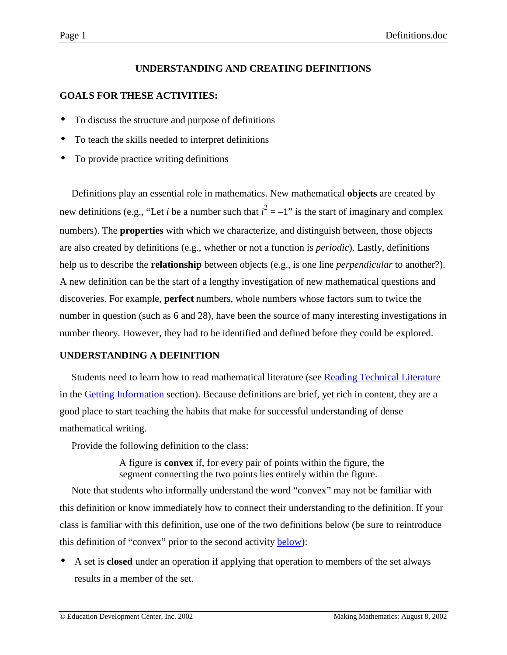# **UNDERSTANDING AND CREATING DEFINITIONS**

# <span id="page-0-0"></span>**GOALS FOR THESE ACTIVITIES:**

- To discuss the structure and purpose of definitions
- To teach the skills needed to interpret definitions
- To provide practice writing definitions

Definitions play an essential role in mathematics. New mathematical **objects** are created by new definitions (e.g., "Let *i* be a number such that  $i^2 = -1$ " is the start of imaginary and complex numbers). The **properties** with which we characterize, and distinguish between, those objects are also created by definitions (e.g., whether or not a function is *periodic*). Lastly, definitions help us to describe the **relationship** between objects (e.g., is one line *perpendicular* to another?). A new definition can be the start of a lengthy investigation of new mathematical questions and discoveries. For example, **perfect** numbers, whole numbers whose factors sum to twice the number in question (such as 6 and 28), have been the source of many interesting investigations in number theory. However, they had to be identified and defined before they could be explored.

#### **UNDERSTANDING A DEFINITION**

Students need to learn how to read mathematical literature (see [Reading Technical Literature](http://www2.edc.org/makingmath/handbook/teacher/GettingInformation/GettingInformation.asp#ReadingTechnicalLiterature) in the [Getting Information](http://www2.edc.org/makingmath/handbook/teacher/GettingInformation/GettingInformation.asp) section). Because definitions are brief, yet rich in content, they are a good place to start teaching the habits that make for successful understanding of dense mathematical writing.

Provide the following definition to the class:

A figure is **convex** if, for every pair of points within the figure, the segment connecting the two points lies entirely within the figure.

Note that students who informally understand the word "convex" may not be familiar with this definition or know immediately how to connect their understanding to the definition. If your class is familiar with this definition, use one of the two definitions below (be sure to reintroduce this definition of "convex" prior to the second activity **below**):

• A set is **closed** under an operation if applying that operation to members of the set always results in a member of the set.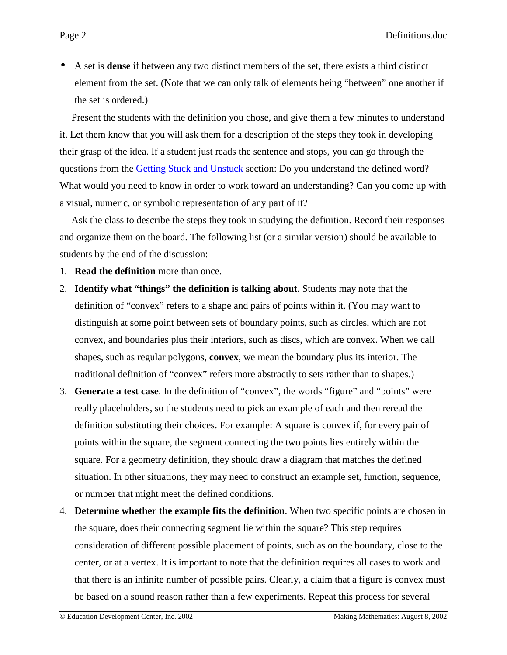• A set is **dense** if between any two distinct members of the set, there exists a third distinct element from the set. (Note that we can only talk of elements being "between" one another if the set is ordered.)

Present the students with the definition you chose, and give them a few minutes to understand it. Let them know that you will ask them for a description of the steps they took in developing their grasp of the idea. If a student just reads the sentence and stops, you can go through the questions from the [Getting Stuck and Unstuck](http://www2.edc.org/makingmath/handbook/teacher/StuckAndUnstuck/StuckAndUnstuck.asp) section: Do you understand the defined word? What would you need to know in order to work toward an understanding? Can you come up with a visual, numeric, or symbolic representation of any part of it?

Ask the class to describe the steps they took in studying the definition. Record their responses and organize them on the board. The following list (or a similar version) should be available to students by the end of the discussion:

- 1. **Read the definition** more than once.
- 2. **Identify what "things" the definition is talking about**. Students may note that the definition of "convex" refers to a shape and pairs of points within it. (You may want to distinguish at some point between sets of boundary points, such as circles, which are not convex, and boundaries plus their interiors, such as discs, which are convex. When we call shapes, such as regular polygons, **convex**, we mean the boundary plus its interior. The traditional definition of "convex" refers more abstractly to sets rather than to shapes.)
- 3. **Generate a test case**. In the definition of "convex", the words "figure" and "points" were really placeholders, so the students need to pick an example of each and then reread the definition substituting their choices. For example: A square is convex if, for every pair of points within the square, the segment connecting the two points lies entirely within the square. For a geometry definition, they should draw a diagram that matches the defined situation. In other situations, they may need to construct an example set, function, sequence, or number that might meet the defined conditions.
- 4. **Determine whether the example fits the definition**. When two specific points are chosen in the square, does their connecting segment lie within the square? This step requires consideration of different possible placement of points, such as on the boundary, close to the center, or at a vertex. It is important to note that the definition requires all cases to work and that there is an infinite number of possible pairs. Clearly, a claim that a figure is convex must be based on a sound reason rather than a few experiments. Repeat this process for several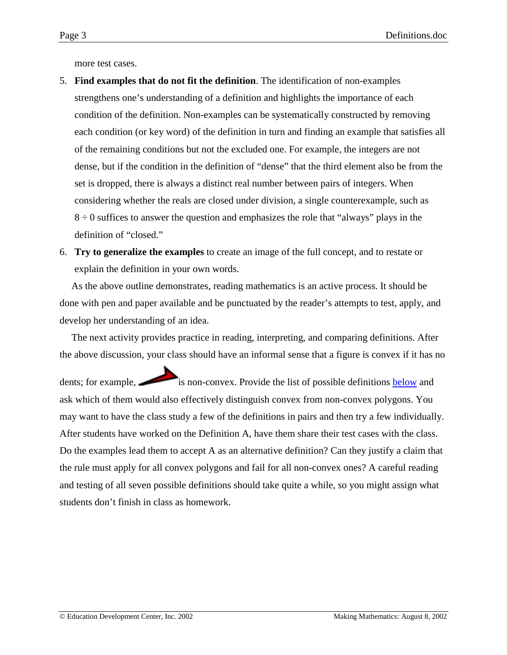<span id="page-2-0"></span>more test cases.

- 5. **Find examples that do not fit the definition**. The identification of non-examples strengthens one's understanding of a definition and highlights the importance of each condition of the definition. Non-examples can be systematically constructed by removing each condition (or key word) of the definition in turn and finding an example that satisfies all of the remaining conditions but not the excluded one. For example, the integers are not dense, but if the condition in the definition of "dense" that the third element also be from the set is dropped, there is always a distinct real number between pairs of integers. When considering whether the reals are closed under division, a single counterexample, such as  $8 \div 0$  suffices to answer the question and emphasizes the role that "always" plays in the definition of "closed."
- 6. **Try to generalize the examples** to create an image of the full concept, and to restate or explain the definition in your own words.

As the above outline demonstrates, reading mathematics is an active process. It should be done with pen and paper available and be punctuated by the reader's attempts to test, apply, and develop her understanding of an idea.

The next activity provides practice in reading, interpreting, and comparing definitions. After the above discussion, your class should have an informal sense that a figure is convex if it has no

dents; for example, is non-convex. Provide the list of possible definitions [below](#page-3-0) and ask which of them would also effectively distinguish convex from non-convex polygons. You may want to have the class study a few of the definitions in pairs and then try a few individually. After students have worked on the Definition A, have them share their test cases with the class. Do the examples lead them to accept A as an alternative definition? Can they justify a claim that the rule must apply for all convex polygons and fail for all non-convex ones? A careful reading and testing of all seven possible definitions should take quite a while, so you might assign what students don't finish in class as homework.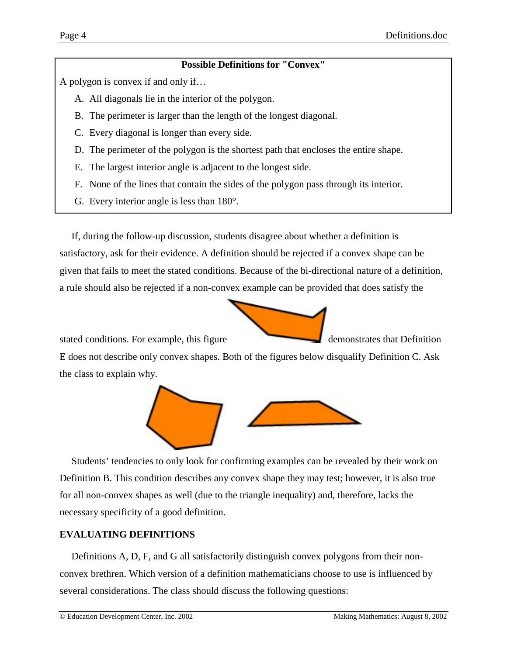# **Possible Definitions for "Convex"**

<span id="page-3-0"></span>A polygon is convex if and only if…

- A. All diagonals lie in the interior of the polygon.
- B. The perimeter is larger than the length of the longest diagonal.
- C. Every diagonal is longer than every side.
- D. The perimeter of the polygon is the shortest path that encloses the entire shape.
- E. The largest interior angle is adjacent to the longest side.
- F. None of the lines that contain the sides of the polygon pass through its interior.
- G. Every interior angle is less than 180°.

If, during the follow-up discussion, students disagree about whether a definition is satisfactory, ask for their evidence. A definition should be rejected if a convex shape can be given that fails to meet the stated conditions. Because of the bi-directional nature of a definition, a rule should also be rejected if a non-convex example can be provided that does satisfy the



stated conditions. For example, this figure

E does not describe only convex shapes. Both of the figures below disqualify Definition C. Ask the class to explain why.



Students' tendencies to only look for confirming examples can be revealed by their work on Definition B. This condition describes any convex shape they may test; however, it is also true for all non-convex shapes as well (due to the triangle inequality) and, therefore, lacks the necessary specificity of a good definition.

# **EVALUATING DEFINITIONS**

Definitions A, D, F, and G all satisfactorily distinguish convex polygons from their nonconvex brethren. Which version of a definition mathematicians choose to use is influenced by several considerations. The class should discuss the following questions: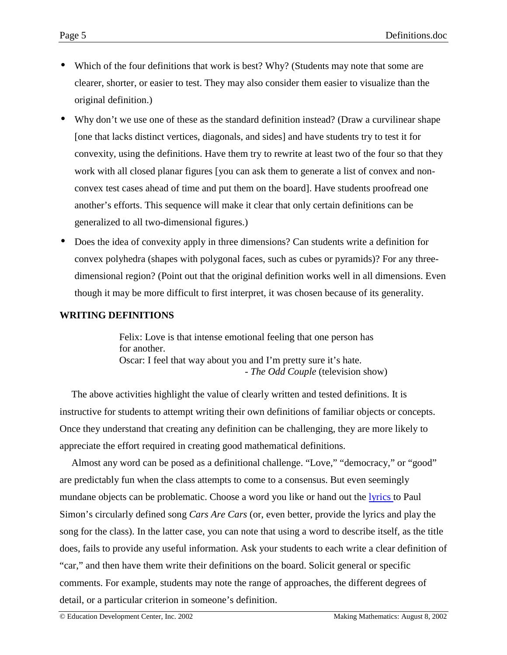- Which of the four definitions that work is best? Why? (Students may note that some are clearer, shorter, or easier to test. They may also consider them easier to visualize than the original definition.)
- Why don't we use one of these as the standard definition instead? (Draw a curvilinear shape [one that lacks distinct vertices, diagonals, and sides] and have students try to test it for convexity, using the definitions. Have them try to rewrite at least two of the four so that they work with all closed planar figures [you can ask them to generate a list of convex and nonconvex test cases ahead of time and put them on the board]. Have students proofread one another's efforts. This sequence will make it clear that only certain definitions can be generalized to all two-dimensional figures.)
- Does the idea of convexity apply in three dimensions? Can students write a definition for convex polyhedra (shapes with polygonal faces, such as cubes or pyramids)? For any threedimensional region? (Point out that the original definition works well in all dimensions. Even though it may be more difficult to first interpret, it was chosen because of its generality.

# **WRITING DEFINITIONS**

Felix: Love is that intense emotional feeling that one person has for another. Oscar: I feel that way about you and I'm pretty sure it's hate. - *The Odd Couple* (television show)

The above activities highlight the value of clearly written and tested definitions. It is instructive for students to attempt writing their own definitions of familiar objects or concepts. Once they understand that creating any definition can be challenging, they are more likely to appreciate the effort required in creating good mathematical definitions.

Almost any word can be posed as a definitional challenge. "Love," "democracy," or "good" are predictably fun when the class attempts to come to a consensus. But even seemingly mundane objects can be problematic. Choose a word you like or hand out the [lyrics t](#page-5-0)o Paul Simon's circularly defined song *Cars Are Cars* (or, even better, provide the lyrics and play the song for the class). In the latter case, you can note that using a word to describe itself, as the title does, fails to provide any useful information. Ask your students to each write a clear definition of "car," and then have them write their definitions on the board. Solicit general or specific comments. For example, students may note the range of approaches, the different degrees of detail, or a particular criterion in someone's definition.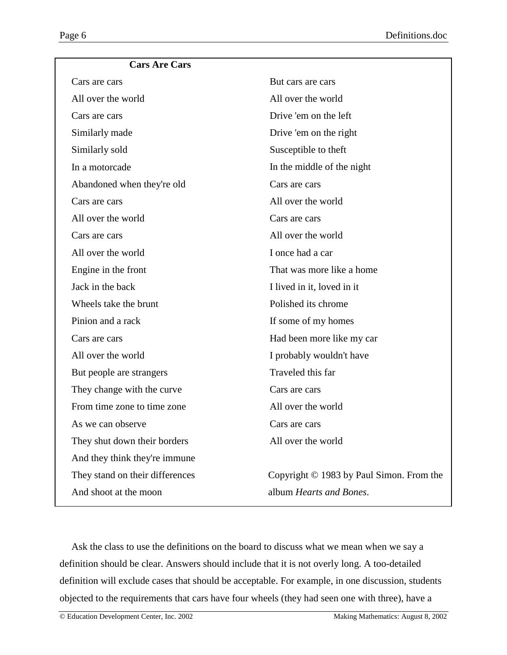<span id="page-5-0"></span>

| <b>Cars Are Cars</b>            |                                          |
|---------------------------------|------------------------------------------|
| Cars are cars                   | But cars are cars                        |
| All over the world              | All over the world                       |
| Cars are cars                   | Drive 'em on the left                    |
| Similarly made                  | Drive 'em on the right                   |
| Similarly sold                  | Susceptible to theft                     |
| In a motorcade                  | In the middle of the night               |
| Abandoned when they're old      | Cars are cars                            |
| Cars are cars                   | All over the world                       |
| All over the world              | Cars are cars                            |
| Cars are cars                   | All over the world                       |
| All over the world              | I once had a car                         |
| Engine in the front             | That was more like a home                |
| Jack in the back                | I lived in it, loved in it               |
| Wheels take the brunt           | Polished its chrome                      |
| Pinion and a rack               | If some of my homes                      |
| Cars are cars                   | Had been more like my car                |
| All over the world              | I probably wouldn't have                 |
| But people are strangers        | Traveled this far                        |
| They change with the curve      | Cars are cars                            |
| From time zone to time zone     | All over the world                       |
| As we can observe               | Cars are cars                            |
| They shut down their borders    | All over the world                       |
| And they think they're immune   |                                          |
| They stand on their differences | Copyright © 1983 by Paul Simon. From the |
| And shoot at the moon           | album Hearts and Bones.                  |
|                                 |                                          |

Ask the class to use the definitions on the board to discuss what we mean when we say a definition should be clear. Answers should include that it is not overly long. A too-detailed definition will exclude cases that should be acceptable. For example, in one discussion, students objected to the requirements that cars have four wheels (they had seen one with three), have a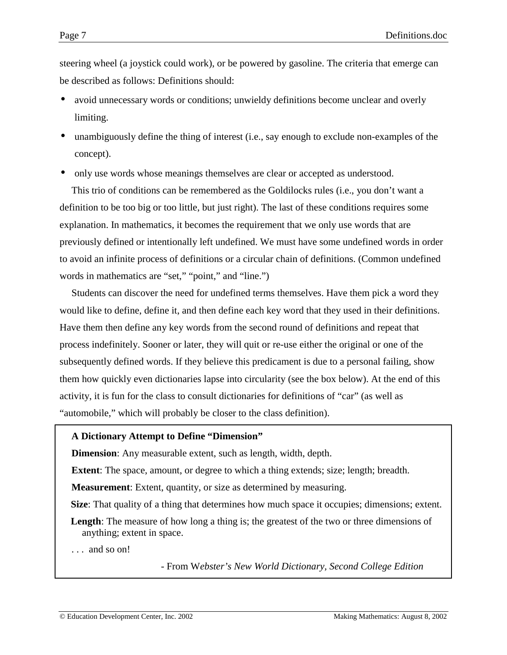steering wheel (a joystick could work), or be powered by gasoline. The criteria that emerge can be described as follows: Definitions should:

- avoid unnecessary words or conditions; unwieldy definitions become unclear and overly limiting.
- unambiguously define the thing of interest (i.e., say enough to exclude non-examples of the concept).
- only use words whose meanings themselves are clear or accepted as understood.

This trio of conditions can be remembered as the Goldilocks rules (i.e., you don't want a definition to be too big or too little, but just right). The last of these conditions requires some explanation. In mathematics, it becomes the requirement that we only use words that are previously defined or intentionally left undefined. We must have some undefined words in order to avoid an infinite process of definitions or a circular chain of definitions. (Common undefined words in mathematics are "set," "point," and "line.")

Students can discover the need for undefined terms themselves. Have them pick a word they would like to define, define it, and then define each key word that they used in their definitions. Have them then define any key words from the second round of definitions and repeat that process indefinitely. Sooner or later, they will quit or re-use either the original or one of the subsequently defined words. If they believe this predicament is due to a personal failing, show them how quickly even dictionaries lapse into circularity (see the box below). At the end of this activity, it is fun for the class to consult dictionaries for definitions of "car" (as well as "automobile," which will probably be closer to the class definition).

#### **A Dictionary Attempt to Define "Dimension"**

**Dimension**: Any measurable extent, such as length, width, depth.

**Extent**: The space, amount, or degree to which a thing extends; size; length; breadth.

**Measurement**: Extent, quantity, or size as determined by measuring.

**Size**: That quality of a thing that determines how much space it occupies; dimensions; extent.

**Length**: The measure of how long a thing is; the greatest of the two or three dimensions of anything; extent in space.

. . . and so on!

- From W*ebster's New World Dictionary, Second College Edition*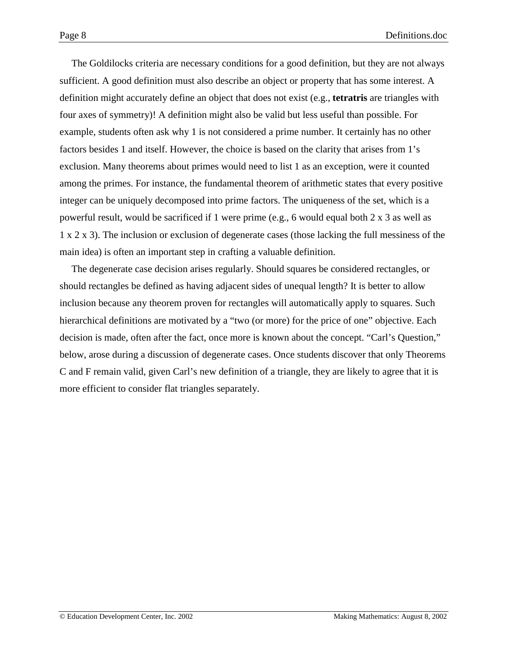The Goldilocks criteria are necessary conditions for a good definition, but they are not always sufficient. A good definition must also describe an object or property that has some interest. A definition might accurately define an object that does not exist (e.g., **tetratris** are triangles with four axes of symmetry)! A definition might also be valid but less useful than possible. For example, students often ask why 1 is not considered a prime number. It certainly has no other factors besides 1 and itself. However, the choice is based on the clarity that arises from 1's exclusion. Many theorems about primes would need to list 1 as an exception, were it counted among the primes. For instance, the fundamental theorem of arithmetic states that every positive integer can be uniquely decomposed into prime factors. The uniqueness of the set, which is a powerful result, would be sacrificed if 1 were prime (e.g., 6 would equal both 2 x 3 as well as 1 x 2 x 3). The inclusion or exclusion of degenerate cases (those lacking the full messiness of the main idea) is often an important step in crafting a valuable definition.

The degenerate case decision arises regularly. Should squares be considered rectangles, or should rectangles be defined as having adjacent sides of unequal length? It is better to allow inclusion because any theorem proven for rectangles will automatically apply to squares. Such hierarchical definitions are motivated by a "two (or more) for the price of one" objective. Each decision is made, often after the fact, once more is known about the concept. "Carl's Question," below, arose during a discussion of degenerate cases. Once students discover that only Theorems C and F remain valid, given Carl's new definition of a triangle, they are likely to agree that it is more efficient to consider flat triangles separately.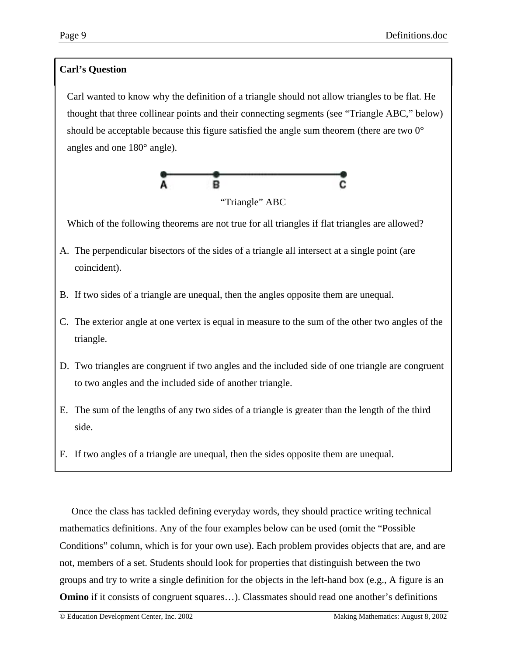# **Carl's Question**

Carl wanted to know why the definition of a triangle should not allow triangles to be flat. He thought that three collinear points and their connecting segments (see "Triangle ABC," below) should be acceptable because this figure satisfied the angle sum theorem (there are two 0° angles and one 180° angle).



"Triangle" ABC

Which of the following theorems are not true for all triangles if flat triangles are allowed?

- A. The perpendicular bisectors of the sides of a triangle all intersect at a single point (are coincident).
- B. If two sides of a triangle are unequal, then the angles opposite them are unequal.
- C. The exterior angle at one vertex is equal in measure to the sum of the other two angles of the triangle.
- D. Two triangles are congruent if two angles and the included side of one triangle are congruent to two angles and the included side of another triangle.
- E. The sum of the lengths of any two sides of a triangle is greater than the length of the third side.
- F. If two angles of a triangle are unequal, then the sides opposite them are unequal.

Once the class has tackled defining everyday words, they should practice writing technical mathematics definitions. Any of the four examples below can be used (omit the "Possible Conditions" column, which is for your own use). Each problem provides objects that are, and are not, members of a set. Students should look for properties that distinguish between the two groups and try to write a single definition for the objects in the left-hand box (e.g., A figure is an **Omino** if it consists of congruent squares...). Classmates should read one another's definitions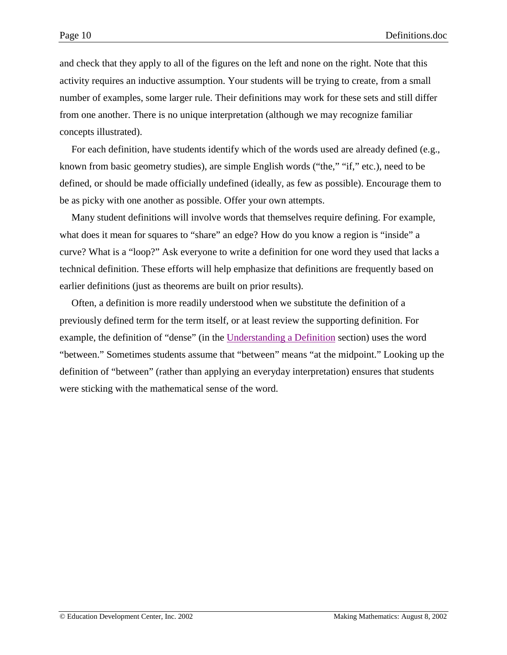and check that they apply to all of the figures on the left and none on the right. Note that this activity requires an inductive assumption. Your students will be trying to create, from a small number of examples, some larger rule. Their definitions may work for these sets and still differ from one another. There is no unique interpretation (although we may recognize familiar concepts illustrated).

For each definition, have students identify which of the words used are already defined (e.g., known from basic geometry studies), are simple English words ("the," "if," etc.), need to be defined, or should be made officially undefined (ideally, as few as possible). Encourage them to be as picky with one another as possible. Offer your own attempts.

Many student definitions will involve words that themselves require defining. For example, what does it mean for squares to "share" an edge? How do you know a region is "inside" a curve? What is a "loop?" Ask everyone to write a definition for one word they used that lacks a technical definition. These efforts will help emphasize that definitions are frequently based on earlier definitions (just as theorems are built on prior results).

Often, a definition is more readily understood when we substitute the definition of a previously defined term for the term itself, or at least review the supporting definition. For example, the definition of "dense" (in the [Understanding a Definition](#page-0-0) section) uses the word "between." Sometimes students assume that "between" means "at the midpoint." Looking up the definition of "between" (rather than applying an everyday interpretation) ensures that students were sticking with the mathematical sense of the word.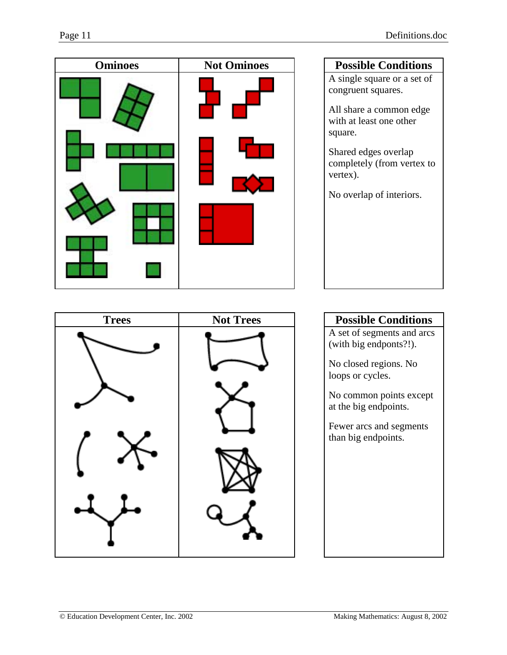| <b>Ominoes</b> | <b>Not Ominoes</b> |
|----------------|--------------------|
|                |                    |
|                |                    |
|                |                    |

# **Possible Conditions** A single square or a set of congruent squares.

All share a common edge with at least one other square.

Shared edges overlap completely (from vertex to vertex).

No overlap of interiors.



A set of segments and arcs (with big endponts?!).

No closed regions. No loops or cycles.

No common points except at the big endpoints.

Fewer arcs and segments than big endpoints.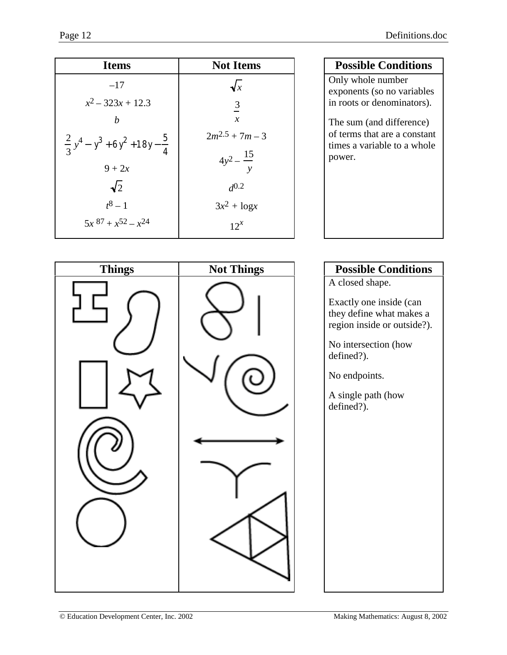| <b>Items</b>                                      | <b>Not Items</b>      |
|---------------------------------------------------|-----------------------|
| $-17$                                             | $\sqrt{x}$            |
| $x^2 - 323x + 12.3$                               | $\frac{3}{5}$         |
| b                                                 | $\mathcal{X}$         |
| $\frac{2}{3}y^4 - y^3 + 6y^2 + 18y - \frac{5}{4}$ | $2m^{2.5} + 7m - 3$   |
| $9 + 2x$                                          | $4y^2 - \frac{15}{9}$ |
| $\sqrt{2}$                                        | $d^{0.2}$             |
| $t^8 - 1$                                         | $3x^2 + \log x$       |
| $5x^{87} + x^{52} - x^{24}$                       | $12^x$                |

# **Possible Conditions**

Only whole number exponents (so no variables in roots or denominators).

The sum (and difference) of terms that are a constant times a variable to a whole power.

| <b>Things</b> | <b>Not Things</b> |
|---------------|-------------------|
|               |                   |
|               |                   |
|               |                   |
|               |                   |

# **Possible Conditions**

A closed shape.

Exactly one inside (can they define what makes a region inside or outside?).

No intersection (how defined?).

No endpoints.

A single path (how defined?).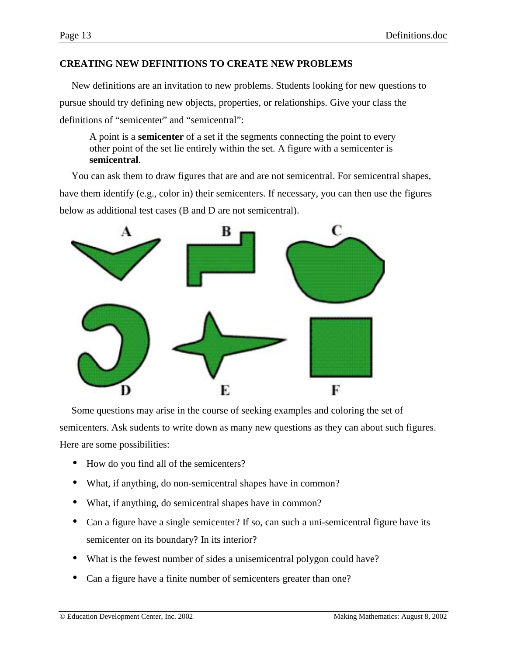# **CREATING NEW DEFINITIONS TO CREATE NEW PROBLEMS**

New definitions are an invitation to new problems. Students looking for new questions to pursue should try defining new objects, properties, or relationships. Give your class the definitions of "semicenter" and "semicentral":

A point is a **semicenter** of a set if the segments connecting the point to every other point of the set lie entirely within the set. A figure with a semicenter is **semicentral**.

You can ask them to draw figures that are and are not semicentral. For semicentral shapes, have them identify (e.g., color in) their semicenters. If necessary, you can then use the figures below as additional test cases (B and D are not semicentral).



Some questions may arise in the course of seeking examples and coloring the set of semicenters. Ask sudents to write down as many new questions as they can about such figures. Here are some possibilities:

- How do you find all of the semicenters?
- What, if anything, do non-semicentral shapes have in common?
- What, if anything, do semicentral shapes have in common?
- Can a figure have a single semicenter? If so, can such a uni-semicentral figure have its semicenter on its boundary? In its interior?
- What is the fewest number of sides a unisemicentral polygon could have?
- Can a figure have a finite number of semicenters greater than one?